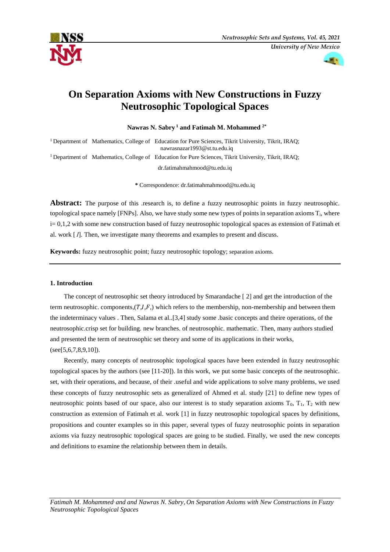



# **On Separation Axioms with New Constructions in Fuzzy Neutrosophic Topological Spaces**

**Nawras N. Sabry <sup>1</sup> and Fatimah M. Mohammed 2\***

<sup>1</sup> Department of Mathematics, College of Education for Pure Sciences, Tikrit University, Tikrit, IRAQ; [nawrasnazar1993@st.tu.edu.iq](mailto:sarahwaad470@gmail.com)

<sup>1</sup>Department of Mathematics, College of Education for Pure Sciences, Tikrit University, Tikrit, IRAQ; [dr.fatimahmahmood@tu.edu.iq](mailto:dr.fatimahmahmood@tu.edu.iq)

**\*** Correspondence: [dr.fatimahmahmood@tu.edu.iq](mailto:dr.fatimahmahmood@tu.edu.iq)

**Abstract:** The purpose of this .research is, to define a fuzzy neutrosophic points in fuzzy neutrosophic. topological space namely  $[FNPs]$ . Also, we have study some new types of points in separation axioms  $T_i$ , where i= 0,1,2 with some new construction based of fuzzy neutrosophic topological spaces as extension of Fatimah et al. work [1]. Then, we investigate many theorems and examples to present and discuss.

**Keywords:** fuzzy neutrosophic point; fuzzy neutrosophic topology; separation axioms.

## **1. Introduction**

The concept of neutrosophic set theory introduced by Smarandache [ 2] and get the introduction of the term neutrosophic. components, $(T,I,F)$ , which refers to the membership, non-membership and between them the indeterminacy values . Then, Salama et al..[3,4] study some .basic concepts and theire operations, of the neutrosophic.crisp set for building. new branches. of neutrosophic. mathematic. Then, many authors studied and presented the term of neutrosophic set theory and some of its applications in their works,  $(see [5,6,7,8,9,10]).$ 

Recently, many concepts of neutrosophic topological spaces have been extended in fuzzy neutrosophic topological spaces by the authors (see [11-20]). In this work, we put some basic concepts of the neutrosophic. set, with their operations, and because, of their .useful and wide applications to solve many problems, we used these concepts of fuzzy neutrosophic sets as generalized of Ahmed et al. study [21] to define new types of neutrosophic points based of our space, also our interest is to study separation axioms  $T_0$ ,  $T_1$ ,  $T_2$  with new construction as extension of Fatimah et al. work [1] in fuzzy neutrosophic topological spaces by definitions, propositions and counter examples so in this paper, several types of fuzzy neutrosophic points in separation axioms via fuzzy neutrosophic topological spaces are going to be studied. Finally, we used the new concepts and definitions to examine the relationship between them in details.

*Fatimah M. Mohammed, and and Nawras N. Sabry, On Separation Axioms with New Constructions in Fuzzy Neutrosophic Topological Spaces*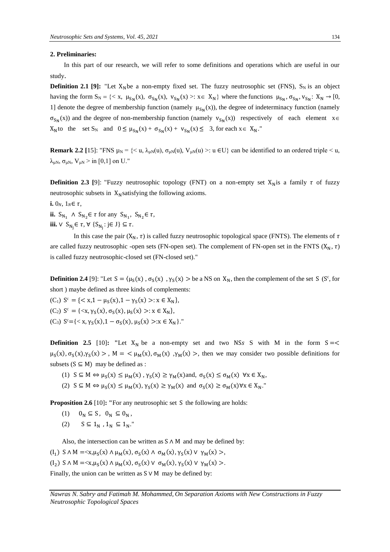#### **2. Preliminaries:**

In this part of our research, we will refer to some definitions and operations which are useful in our study.

**Definition 2.1 [9]:** "Let X<sub>N</sub>be a non-empty fixed set. The fuzzy neutrosophic set (FNS), S<sub>N</sub> is an object having the form  $S_N = \{ \langle x, \mu_{S_N}(x), \sigma_{S_N}(x), v_{S_N}(x) \rangle : x \in X_N \}$  where the functions  $\mu_{S_N}, \sigma_{S_N}, v_{S_N}: X_N \to [0, \infty) \}$ 1] denote the degree of membership function (namely  $\mu_{S_N}(x)$ ), the degree of indeterminacy function (namely  $\sigma_{S_N}(x)$  and the degree of non-membership function (namely  $v_{S_N}(x)$ ) respectively of each element  $x \in$  $X_N$  to the set  $S_N$  and  $0 \leq \mu_{S_N}(x) + \sigma_{S_N}(x) + v_{S_N}(x) \leq 3$ , for each  $x \in X_N$ ."

**Remark 2.2** [15]: "FNS  $\mu_N = \{ \langle u, \lambda_{\mu N}(u), \sigma_{\mu N}(u), V_{\mu N}(u) \rangle : u \in U \}$  can be identified to an ordered triple  $\langle u, u \rangle$  $\lambda_{\mu N}$ ,  $\sigma_{\mu N}$ ,  $V_{\mu N}$  > in [0,1] on U."

**Definition 2.3** [9]: "Fuzzy neutrosophic topology (FNT) on a non-empty set  $X_N$ is a family  $\tau$  of fuzzy neutrosophic subsets in  $X_N$ satisfying the following axioms.

i.  $0_N$ ,  $1_N \in \tau$ ,

**ii.**  $S_{N_1} \wedge S_{N_2} \in \tau$  for any  $S_{N_1}$ ,  $S_{N_2} \in \tau$ , **iii.**  $\vee$   $S_{N_j} \in \tau$ ,  $\forall$   $\{S_{N_j}: j \in J\} \subseteq \tau$ .

In this case the pair  $(X_N, \tau)$  is called fuzzy neutrosophic topological space (FNTS). The elements of  $\tau$ are called fuzzy neutrosophic -open sets (FN-open set). The complement of FN-open set in the FNTS ( $X_N$ ,  $\tau$ ) is called fuzzy neutrosophic-closed set (FN-closed set)."

**Definition 2.4** [9]: "Let  $S = \langle \mu_S(x), \sigma_S(x), \gamma_S(x) \rangle$  be a NS on  $X_N$ , then the complement of the set S (S<sup>c</sup>, for short ) maybe defined as three kinds of complements:

(C<sub>1</sub>)  $S^c = \{ \langle x, 1 - \mu_S(x), 1 - \gamma_S(x) \rangle : x \in X_N \},$ (C<sub>2</sub>)  $S^c = \{ \langle x, \gamma_S(x), \sigma_S(x), \mu_S(x) \rangle : x \in X_N \},$ (C<sub>3</sub>)  $S^c = \{ \langle x, \gamma_S(x), 1 - \sigma_S(x), \mu_S(x) \rangle : x \in X_N \}$ ."

**Definition 2.5** [10]: "Let  $X_N$  be a non-empty set and two NSs S with M in the form  $S = \lt$  $\mu_S(x), \sigma_S(x), \gamma_S(x) >$ ,  $M = \langle \mu_M(x), \sigma_M(x), \gamma_M(x) \rangle$ , then we may consider two possible definitions for subsets ( $S \subseteq M$ ) may be defined as :

- (1)  $S \subseteq M \Leftrightarrow \mu_S(x) \leq \mu_M(x)$ ,  $\gamma_S(x) \geq \gamma_M(x)$  and,  $\sigma_S(x) \leq \sigma_M(x)$   $\forall x \in X_N$ ,
- (2)  $S \subseteq M \Leftrightarrow \mu_S(x) \le \mu_M(x), \gamma_S(x) \ge \gamma_M(x)$  and  $\sigma_S(x) \ge \sigma_M(x) \forall x \in X_N$ ."

**Proposition 2.6** [10]: "For any neutrosophic set S the following are holds:

- (1)  $0_N \subseteq S$ ,  $0_N \subseteq 0_N$ ,
- (2)  $S \subseteq 1_N$ ,  $1_N \subseteq 1_N$ ."

Also, the intersection can be written as S ∧ M and may be defined by:

$$
(\mathbf{I}_1) \ S \land \mathbf{M} = \langle \mathbf{x}, \mu_{\mathbf{S}}(\mathbf{x}) \land \mu_{\mathbf{M}}(\mathbf{x}), \sigma_{\mathbf{S}}(\mathbf{x}) \land \sigma_{\mathbf{M}}(\mathbf{x}), \gamma_{\mathbf{S}}(\mathbf{x}) \lor \gamma_{\mathbf{M}}(\mathbf{x}) \rangle,
$$

(I<sub>2</sub>) S  $\wedge$  M = < x,  $\mu_S(x)$   $\wedge$   $\mu_M(x)$ ,  $\sigma_S(x)$   $\vee$   $\sigma_M(x)$ ,  $\gamma_S(x)$   $\vee$   $\gamma_M(x)$  >.

Finally, the union can be written as  $S \vee M$  may be defined by: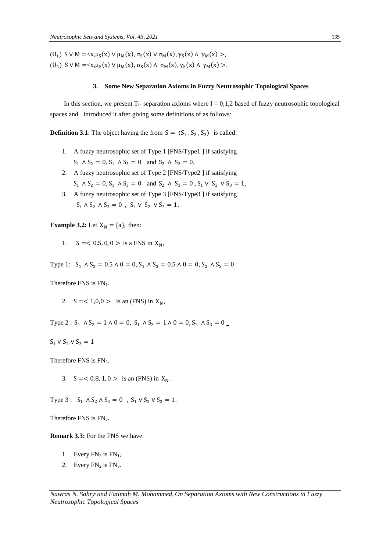(U<sub>1</sub>) S  $\vee$  M = < x,  $\mu_S(x)$   $\vee$   $\mu_M(x)$ ,  $\sigma_S(x)$   $\vee$   $\sigma_M(x)$ ,  $\gamma_S(x)$   $\wedge$   $\gamma_M(x)$ , (U<sub>2</sub>) S  $\vee$  M = < x,  $\mu_S(x)$   $\vee$   $\mu_M(x)$ ,  $\sigma_S(x)$   $\wedge$   $\sigma_M(x)$ ,  $\gamma_S(x)$   $\wedge$   $\gamma_M(x)$  >.

#### **3. Some New Separation Axioms in Fuzzy Neutrosophic Topological Spaces**

In this section, we present  $T_i$ - separation axioms where  $I = 0,1,2$  based of fuzzy neutrosophic topological spaces and introduced it after giving some definitions of as follows:

**Definition 3.1**: The object having the from  $S = \langle S_1, S_2, S_3 \rangle$  is called:

- 1. A fuzzy neutrosophic set of Type 1 [FNS/Type1 ] if satisfying  $S_1 \wedge S_2 = 0$ ,  $S_1 \wedge S_3 = 0$  and  $S_2 \wedge S_3 = 0$ ,
- 2. A fuzzy neutrosophic set of Type 2 [FNS/Type2 ] if satisfying  $S_1 \wedge S_2 = 0$ ,  $S_1 \wedge S_3 = 0$  and  $S_2 \wedge S_3 = 0$ ,  $S_1 \vee S_2 \vee S_3 = 1$ ,
- 3. A fuzzy neutrosophic set of Type 3 [FNS/Type3 ] if satisfying  $S_1 \wedge S_2 \wedge S_3 = 0$ ,  $S_1 \vee S_2 \vee S_3 = 1$ .

**Example 3.2:** Let  $X_N = \{a\}$ , then:

1.  $S = < 0.5, 0, 0 >$  is a FNS in  $X_N$ ,

Type 1:  $S_1 \wedge S_2 = 0.5 \wedge 0 = 0$ ,  $S_1 \wedge S_3 = 0.5 \wedge 0 = 0$ ,  $S_2 \wedge S_3 = 0$ 

Therefore FNS is FN<sub>1</sub>.

2.  $S = < 1,0,0 >$  is an (FNS) in  $X_N$ ,

Type 2 :  $S_1 \wedge S_2 = 1 \wedge 0 = 0$ ,  $S_1 \wedge S_3 = 1 \wedge 0 = 0$ ,  $S_2 \wedge S_3 = 0$ 

 $S_1 \vee S_2 \vee S_3 = 1$ 

Therefore FNS is  $FN_2$ .

3.  $S = 0.8, 1, 0 >$  is an (FNS) in  $X_N$ .

Type 3 :  $S_1 \wedge S_2 \wedge S_3 = 0$ ,  $S_1 \vee S_2 \vee S_3 = 1$ .

Therefore FNS is  $FN_3$ .

## **Remark 3.3:** For the FNS we have:

- 1. Every  $FN_2$  is  $FN_1$ ,
- 2. Every  $FN_2$  is  $FN_3$ .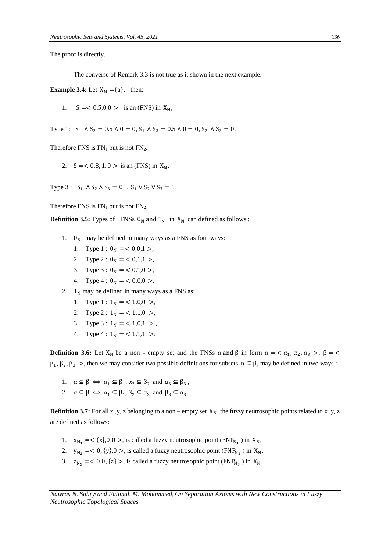The proof is directly.

The converse of Remark 3.3 is not true as it shown in the next example.

**Example 3.4:** Let  $X_N = \{a\}$ , then:

1.  $S = < 0.5, 0.0 >$  is an (FNS) in  $X_N$ ,

Type 1:  $S_1 \wedge S_2 = 0.5 \wedge 0 = 0$ ,  $S_1 \wedge S_3 = 0.5 \wedge 0 = 0$ ,  $S_2 \wedge S_3 = 0$ .

Therefore FNS is  $FN_1$  but is not  $FN_2$ .

2.  $S = 0.8, 1, 0 >$  is an (FNS) in  $X_N$ .

Type 3 :  $S_1 \wedge S_2 \wedge S_3 = 0$ ,  $S_1 \vee S_2 \vee S_3 = 1$ .

Therefore FNS is  $FN_1$  but is not  $FN_2$ .

**Definition 3.5:** Types of FNSs  $0_N$  and  $1_N$  in  $X_N$  can defined as follows :

- 1.  $0_N$  may be defined in many ways as a FNS as four ways:
	- 1. Type 1 :  $0_N = 0.0, 1 >$ ,
	- 2. Type 2 :  $0_N = 0.1, 1 >$ ,
	- 3. Type 3 :  $0<sub>N</sub> = 6,1,0 >$ ,
	- 4. Type 4 :  $0<sub>N</sub> = < 0,0,0>$ .
- 2.  $1_N$  may be defined in many ways as a FNS as:
	- 1. Type  $1: 1_N = 1, 0, 0 >$ ,
	- 2. Type 2 :  $1<sub>N</sub> = 1,1,0 >$ ,
	- 3. Type  $3: 1_N = 1, 0, 1 > 1$ ,
	- 4. Type  $4: 1_N = 1,1,1 >$ .

**Definition 3.6:** Let  $X_N$  be a non - empty set and the FNSs  $\alpha$  and  $\beta$  in form  $\alpha = \alpha_1, \alpha_2, \alpha_3 >$ ,  $\beta = \alpha_1$  $\beta_1, \beta_2, \beta_3$  >, then we may consider two possible definitions for subsets  $\alpha \subseteq \beta$ , may be defined in two ways :

- 1.  $\alpha \subseteq \beta \iff \alpha_1 \subseteq \beta_1, \alpha_2 \subseteq \beta_2 \text{ and } \alpha_3 \subseteq \beta_3$ ,
- 2.  $\alpha \subseteq \beta \iff \alpha_1 \subseteq \beta_1, \beta_2 \subseteq \alpha_2 \text{ and } \beta_3 \subseteq \alpha_3.$

**Definition 3.7:** For all x,y, z belonging to a non – empty set  $X_N$ , the fuzzy neutrosophic points related to x,y, z are defined as follows:

- 1.  $x_{N_1} = \langle x \rangle, 0, 0 \rangle$ , is called a fuzzy neutrosophic point (FNP<sub>N<sub>1</sub></sub>) in  $X_N$ ,
- 2.  $y_{N_2} = < 0$ , {y}, 0 >, is called a fuzzy neutrosophic point (FNP<sub>N<sub>2</sub></sub>) in  $X_N$ ,
- 3.  $z_{N_3} = 0.0$ ,  $\{z\} >$ , is called a fuzzy neutrosophic point (FNP<sub>N<sub>3</sub></sub>) in X<sub>N</sub>.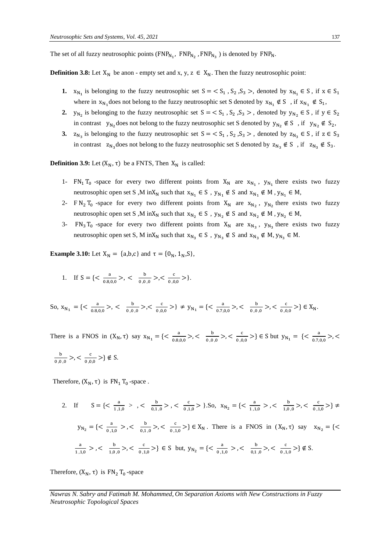The set of all fuzzy neutrosophic points  $(FNP_{N_1}, FNP_{N_2}, FNP_{N_3})$  is denoted by  $FNP_N$ .

**Definition 3.8:** Let  $X_N$  be anon - empty set and x, y,  $z \in X_N$ . Then the fuzzy neutrosophic point:

- 1.  $x_{N_1}$  is belonging to the fuzzy neutrosophic set  $S = \langle S_1, S_2, S_3 \rangle$ , denoted by  $x_{N_1} \in S$ , if  $x \in S_1$ where in  $x_{N_1}$  does not belong to the fuzzy neutrosophic set S denoted by  $x_{N_1} \notin S$ , if  $x_{N_1} \notin S_1$ ,
- 2.  $y_{N_2}$  is belonging to the fuzzy neutrosophic set  $S = \langle S_1, S_2, S_3 \rangle$ , denoted by  $y_{N_2} \in S$ , if  $y \in S_2$ in contrast  $y_{N_2}$  does not belong to the fuzzy neutrosophic set S denoted by  $y_{N_2} \notin S$ , if  $y_{N_2} \notin S_2$ ,
- **3.**  $z_{N_3}$  is belonging to the fuzzy neutrosophic set  $S = \langle S_1, S_2, S_3 \rangle$ , denoted by  $z_{N_3} \in S$ , if  $z \in S_3$ in contrast  $z_{N_3}$  does not belong to the fuzzy neutrosophic set S denoted by  $z_{N_3} \notin S$ , if  $z_{N_3} \notin S_3$ .

**Definition 3.9:** Let  $(X_N, \tau)$  be a FNTS, Then  $X_N$  is called:

- 1-  $FN_1T_0$ -space for every two different points from  $X_N$  are  $X_{N_1}$ ,  $Y_{N_1}$  there exists two fuzzy neutrosophic open set S, M in X<sub>N</sub> such that  $x_{N_1} \in S$ ,  $y_{N_1} \notin S$  and  $x_{N_1} \notin M$ ,  $y_{N_1} \in M$ ,
- 2-  $FN_2T_0$ -space for every two different points from  $X_N$  are  $X_{N_2}$ ,  $y_{N_2}$  there exists two fuzzy neutrosophic open set S, M in X<sub>N</sub> such that  $x_{N_2} \in S$ ,  $y_{N_2} \notin S$  and  $x_{N_2} \notin M$ ,  $y_{N_2} \in M$ ,
- 3-  $FN_3T_0$ -space for every two different points from  $X_N$  are  $X_{N_3}$ ,  $Y_{N_3}$  there exists two fuzzy neutrosophic open set S, M in X<sub>N</sub> such that  $x_{N_3} \in S$ ,  $y_{N_3} \notin S$  and  $x_{N_3} \notin M$ ,  $y_{N_3} \in M$ .

**Example 3.10:** Let  $X_N = \{a,b,c\}$  and  $\tau = \{0_N, 1_N, S\}$ ,

1. If 
$$
S = \{ \langle \frac{a}{0.8,0,0} \rangle, \langle \frac{b}{0.0,0} \rangle, \langle \frac{c}{0.0,0} \rangle \}.
$$

So, 
$$
x_{N_1} = \{ \langle \frac{a}{0.8,0,0} \rangle, \langle \frac{b}{0.0,0} \rangle, \langle \frac{c}{0.0,0} \rangle \} \neq y_{N_1} = \{ \langle \frac{a}{0.7,0,0} \rangle, \langle \frac{b}{0.0,0} \rangle, \langle \frac{c}{0.0,0} \rangle \} \in X_N.
$$

There is a FNOS in  $(X_N, \tau)$  say  $X_{N_1} = \{ \leq \frac{a}{0.8} \}$  $\frac{a}{0.8,0,0}$  >, <  $\frac{b}{0,0}$  $\frac{b}{0,0,0}$  >, <  $\frac{c}{0,0}$  $\frac{c}{0,0,0}$  > }  $\in$  S but  $y_{N_1} = \{ \frac{a}{0.7} \}$  $\frac{a}{0.7,0,0}$  >, < b  $\frac{b}{0,0,0}$  >, <  $\frac{c}{0,0}$  $\frac{c}{0,0,0}$  > }  $\notin S$ .

Therefore,  $(X_N, \tau)$  is  $FN_1 T_0$ -space.

2. If  $S = \{ \leq \frac{a}{1.4} \}$  $\frac{a}{1,1,0}$  > , <  $\frac{b}{0,1}$  $\frac{b}{0,1,0}$  > , <  $\frac{c}{0,1}$  $\frac{c}{0,1,0}$  > }.So,  $X_{N_2} = \{ \leq \frac{a}{1,1} \}$  $\frac{a}{1,1,0}$  > , <  $\frac{b}{1,0}$  $rac{b}{1,0,0}$  >, <  $rac{c}{0,1}$  $\frac{c}{0,1,0}$  > }  $\neq$  $y_{N_2} = \{ \frac{a}{0.1} \}$  $\frac{a}{0,1,0}$  > , <  $\frac{b}{0,1}$  $\frac{b}{0,1,0}$  >, <  $\frac{c}{0,1}$  $\frac{C}{0,1,0}$  > }  $\in X_N$ . There is a FNOS in  $(X_N, \tau)$  say  $X_{N_2} = \{ \leq$ a  $\frac{a}{1,1,0}$  > , <  $\frac{b}{1,0}$  $rac{b}{1,0,0}$  >, <  $rac{c}{0,1}$  $\frac{c}{0,1,0}$  > }  $\in$  S but,  $y_{N_2} = \{ \leq \frac{a}{0,1} \}$  $\frac{a}{0,1,0}$  > , <  $\frac{b}{0,1}$  $rac{b}{0,1,0}$  >, <  $rac{c}{0,1}$  $\frac{c}{0,1,0}$  > }  $\notin$  S.

Therefore,  $(X_N, \tau)$  is  $FN_2T_0$ -space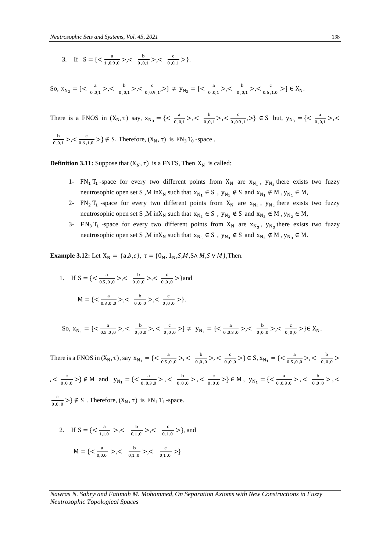3. If  $S = \{ \leq \frac{a}{1.8} \}$  $\frac{a}{1,0.9,0}$  >,<  $\frac{b}{0,0}$  $rac{b}{0,0,1}$  >,<  $rac{c}{0,0}$  $\frac{c}{0,0,1}$  > }.

So,  $x_{N_3} = \{ \frac{a}{\sqrt{0.0}} \}$  $rac{a}{0,0,1}$ >,<  $rac{b}{0,0}$  $rac{b}{0,0,1}$  >, <  $rac{c}{0,0.}$  $\frac{c}{0,0.9,1}$ , > }  $\neq$   $y_{N_3}$  = {<  $\frac{a}{0,0.9}$  $rac{a}{0,0,1}$ >,<  $rac{b}{0,0}$  $rac{b}{0,0,1}$  >, <  $rac{c}{0.6}$  $\frac{c}{0.6,1,0}$  > }  $\in X_N$ .

There is a FNOS in  $(X_N, \tau)$  say,  $X_{N_3} = \{ \frac{\alpha}{\alpha} \}$  $\frac{a}{0,0,1}$  >, <  $\frac{b}{0,0}$  $\frac{b}{0,0,1}$  >, <  $\frac{c}{0,0.1}$  $\frac{c}{0.0.9,1}$ , > }  $\in$  S but,  $y_{N_3} = \{ < \frac{a}{0.00,1}$  $\frac{a}{0,0,1}$ >,<

b  $rac{b}{0,0,1}$  >,<  $rac{c}{0.6}$  $\frac{c}{0.6, 1,0}$  > }  $\notin$  S. Therefore,  $(X_N, \tau)$  is FN<sub>3</sub> T<sub>0</sub>-space.

**Definition 3.11:** Suppose that  $(X_N, \tau)$  is a FNTS, Then  $X_N$  is called:

- 1-  $FN_1T_1$ -space for every two different points from  $X_N$  are  $X_{N_1}$ ,  $Y_{N_1}$  there exists two fuzzy neutrosophic open set S, M in X<sub>N</sub> such that  $x_{N_1} \in S$ ,  $y_{N_1} \notin S$  and  $x_{N_1} \notin M$ ,  $y_{N_1} \in M$ ,
- 2-  $FN_2T_1$ -space for every two different points from  $X_N$  are  $X_{N_2}$ ,  $Y_{N_2}$  there exists two fuzzy neutrosophic open set S, M in X<sub>N</sub> such that  $x_{N_2} \in S$ ,  $y_{N_2} \notin S$  and  $x_{N_2} \notin M$ ,  $y_{N_2} \in M$ ,
- 3-  $FN_3T_1$ -space for every two different points from  $X_N$  are  $X_{N_3}$ ,  $Y_{N_3}$  there exists two fuzzy neutrosophic open set S, M in X<sub>N</sub> such that  $x_{N_3} \in S$ ,  $y_{N_3} \notin S$  and  $x_{N_3} \notin M$ ,  $y_{N_3} \in M$ .

**Example 3.12:** Let  $X_N = \{a,b,c\}$ ,  $\tau = \{0_N, 1_N, S, M, S \land M, S \lor M\}$ , Then.

1. If 
$$
S = \{ \langle \frac{a}{0.5, 0, 0} \rangle, \langle \frac{b}{0, 0, 0} \rangle, \langle \frac{c}{0, 0, 0} \rangle \}
$$
 and  
\n $M = \{ \langle \frac{a}{0.3, 0, 0} \rangle, \langle \frac{b}{0, 0, 0} \rangle, \langle \frac{c}{0, 0, 0} \rangle \}$ .

So, 
$$
x_{N_1} = \{ \langle \frac{a}{0.5, 0, 0} \rangle, \langle \frac{b}{0, 0, 0} \rangle, \langle \frac{c}{0, 0, 0} \rangle \} \neq y_{N_1} = \{ \langle \frac{a}{0, 0.3, 0} \rangle, \langle \frac{b}{0, 0, 0} \rangle, \langle \frac{c}{0, 0, 0} \rangle \} \in X_N.
$$

There is a FNOS in  $(X_N, \tau)$ , say  $X_{N_1} = \{ \leq \frac{a}{0.5} \}$  $\frac{a}{0.5,0,0}$  >, <  $\frac{b}{0,0}$  $\frac{b}{0,0,0}$  >, <  $\frac{c}{0,0}$  $\frac{c}{0,0,0}$  > }  $\in$  S,  $x_{N_1} = \{ \leq \frac{a}{0.5} \}$  $\frac{a}{0.5,0,0}$  >, <  $\frac{b}{0,0}$  $\frac{0}{0,0,0}$ 

$$
0<\frac{c}{0,0,0}> \}\notin M\ \ \text{and}\quad y_{N_1}=\{<\frac{a}{0,0.3,0}>, <\frac{b}{0,0,0}>,<\frac{c}{0,0,0}>\}\in M\,,\ \ y_{N_1}=\{<\frac{a}{0,0.3,0}>,<\frac{b}{0,0,0}>,<\frac{c}{0,0,0}>,<\frac{c}{0,0,0}>,<\frac{c}{0,0,0}>,<\frac{c}{0,0,0}>,<\frac{c}{0,0,0}>,<\frac{c}{0,0,0}>,<\frac{c}{0,0,0}>,<\frac{c}{0,0,0}>,<\frac{c}{0,0,0}>,<\frac{c}{0,0,0}>,<\frac{c}{0,0,0}>,<\frac{c}{0,0,0}>,<\frac{c}{0,0,0}>,<\frac{c}{0,0,0}>,<\frac{c}{0,0,0}>,<\frac{c}{0,0,0}>,<\frac{c}{0,0,0}>,<\frac{c}{0,0,0}>,<\frac{c}{0,0,0}>,<\frac{c}{0,0,0}>,<\frac{c}{0,0,0}>,<\frac{c}{0,0,0}>,<\frac{c}{0,0,0}>,<\frac{c}{0,0,0}>,<\frac{c}{0,0,0}>,<\frac{c}{0,0,0}>,<\frac{c}{0,0,0}>,<\frac{c}{0,0,0}>,<\frac{c}{0,0,0}>,<\frac{c}{0,0,0}>,<\frac{c}{0,0,0}>,<\frac{c}{0,0,0}>,<\frac{c}{0,0,0}>,<\frac{c}{0,0,0}>,<\frac{c}{0,0,0}>,<\frac{c}{0,0,0}>,<\frac{c}{0,0,0}>,<\frac{c}{0,0,0}>,<\frac{c}{0,0,0}>,<\frac{c}{0,0,0}>,<\frac{c}{0,0,0}>,<\frac{c}{0,0,0}>,<\frac{c}{0,0,0}>,<\frac{c}{0,0,0}>,<\frac{c}{0,0,0}>,<\frac{c}{0,0,0}>,<\frac{c}{0,0,0}>,<\frac{c}{0,0,0}>,<\frac{c}{0,0,0}>,<\frac{c
$$

c  $\frac{c}{0,0,0}$  >  $\notin$  S. Therefore,  $(X_N, \tau)$  is FN<sub>1</sub> T<sub>1</sub>-space.

2. If  $S = \{ \leq \frac{a}{11} \}$  $rac{a}{1,1,0}$  >,<  $rac{b}{0,1}$  $rac{b}{0,1,0}$  >,<  $rac{c}{0,1}$  $\frac{c}{0,1,0}$  > }, and  $M = \left\{ \frac{a}{a} \right\}$  $rac{a}{0,0,0}$  >,<  $rac{b}{0,1}$  $rac{b}{0,1,0}$  >,<  $rac{c}{0,1}$  $\frac{c}{0,1,0}$  >}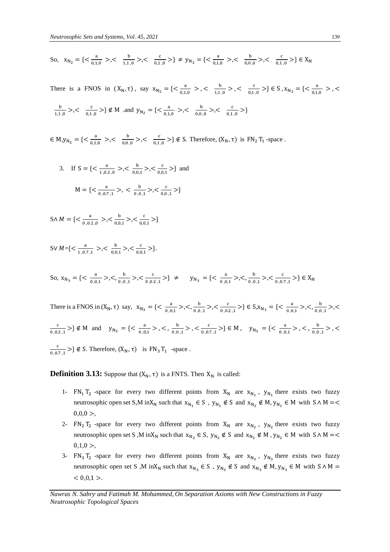So, 
$$
x_{N_2} = \{ \langle \frac{a}{0,1,0} \rangle, \langle \frac{b}{1,1,0} \rangle, \langle \frac{c}{0,1,0} \rangle \} \neq y_{N_2} = \{ \langle \frac{a}{0,1,0} \rangle, \langle \frac{b}{0,0,0} \rangle, \langle \frac{c}{0,1,0} \rangle \} \in X_N
$$

There is a FNOS in 
$$
(X_N, \tau)
$$
, say  $x_{N_2} = \{ \langle \frac{a}{0,1,0} \rangle, \langle \frac{b}{1,1,0} \rangle, \langle \frac{c}{0,1,0} \rangle \} \in S, x_{N_2} = \{ \langle \frac{a}{0,1,0} \rangle, \langle \frac{b}{1,1,0} \rangle, \langle \frac{c}{0,1,0} \rangle \}$   
 $\frac{b}{1,1,0} > \langle \frac{c}{0,1,0} \rangle \notin M$  and  $y_{N_2} = \{ \langle \frac{a}{0,1,0} \rangle, \langle \frac{b}{0,0,0} \rangle, \langle \frac{c}{0,1,0} \rangle \}$ 

 $\in M, y_{N_2} = \{\leq \frac{a}{0.1}\}$  $\frac{a}{0,1,0}$  >,<  $\frac{b}{0,0}$  $rac{b}{0,0,0}$  >,<  $rac{c}{0,1}$  $\frac{C}{0,1,0}$  >  $\notin$  S. Therefore,  $(X_N, \tau)$  is  $FN_2$   $T_1$ -space.

3. If 
$$
S = \{ \langle \frac{a}{1,0.2,0} \rangle, \langle \frac{b}{0,0,1} \rangle, \langle \frac{c}{0,0,1} \rangle \}
$$
 and  
\n $M = \{ \langle \frac{a}{0,0.7,1} \rangle, \langle \frac{b}{0,0,1} \rangle, \langle \frac{c}{0,0,1} \rangle \}$ 

$$
S \wedge M = \{ \langle \frac{a}{0, 0.2, 0} \rangle, \langle \frac{b}{0, 0, 1} \rangle, \langle \frac{c}{0, 0, 1} \rangle \}
$$

$$
SV M = \{ < \frac{a}{1, 0.7, 1} > \, < \frac{b}{0, 0.1} > \, < \frac{c}{0, 0.1} > \}.
$$

So, 
$$
x_{N_3} = \{ \langle \frac{a}{0.0,1} \rangle, \langle \frac{b}{0.0,1} \rangle, \langle \frac{c}{0.0,2,1} \rangle \} \neq y_{N_3} = \{ \langle \frac{a}{0.0,1} \rangle, \langle \frac{b}{0.0,1} \rangle, \langle \frac{c}{0.0,7,1} \rangle \} \in X_N
$$

There is a FNOS in  $(X_N, \tau)$  say,  $X_{N_3} = \{ \langle \frac{a}{0.0} \rangle \}$  $\frac{a}{0,0,1}$  >,<,  $\frac{b}{0,0}$  $rac{b}{0,0,1}$  >,<  $rac{c}{0,0.}$  $\frac{c}{0,0.2,1}$  > }  $\in$  S,  $x_{N_3}$  = {  $\lt \frac{a}{0,0}$  $\frac{a}{0,0,1}$  >,<,  $\frac{b}{0,0}$  $\frac{0}{0,0,1}$  >,< c  $\frac{c}{0.02,1}$  >  $\xi$  M and  $y_{N_3} = \{ \frac{a}{0.01} \}$  $\frac{a}{0,0,1}$  > , < ,  $\frac{b}{0,0}$  $\frac{b}{0,0,1}$  > , <  $\frac{c}{0,0.}$  $\frac{c}{0,0.7,1}$  > }  $\in M$ ,  $y_{N_3} = \left\{ \frac{a}{0,0.7,1} \right\}$  $\frac{a}{0,0,1}$  > , < ,  $\frac{b}{0,0}$  $\frac{0}{0,0,1}$  > , < c  $\frac{c}{a_{0,0.7,1}}$  >  $\} \notin S$ . Therefore,  $(X_N, \tau)$  is FN<sub>3</sub> T<sub>1</sub> -space.

**Definition 3.13:** Suppose that  $(X_N, \tau)$  is a FNTS. Then  $X_N$  is called:

- 1-  $FN_1T_2$ -space for every two different points from  $X_N$  are  $X_{N_1}$ ,  $Y_{N_1}$  there exists two fuzzy neutrosophic open set S,M in  $X_N$  such that  $x_{N_1} \in S$ ,  $y_{N_1} \notin S$  and  $x_{N_1} \notin M$ ,  $y_{N_1} \in M$  with  $S \wedge M = \leq$  $0,0,0>$ ,
- 2-  $FN_2T_2$ -space for every two different points from  $X_N$  are  $X_{N_2}$ ,  $Y_{N_2}$  there exists two fuzzy neutrosophic open set S, M in X<sub>N</sub> such that  $x_{N_2} \in S$ ,  $y_{N_2} \notin S$  and  $x_{N_2} \notin M$ ,  $y_{N_2} \in M$  with  $S \wedge M = \langle$  $0,1,0,$
- 3-  $FN_3T_2$ -space for every two different points from  $X_N$  are  $X_{N_3}$ ,  $Y_{N_3}$  there exists two fuzzy neutrosophic open set S,M inX<sub>N</sub> such that  $x_{N_3} \in S$ ,  $y_{N_3} \notin S$  and  $x_{N_3} \notin M$ ,  $y_{N_3} \in M$  with  $S \wedge M =$  $< 0.01$ .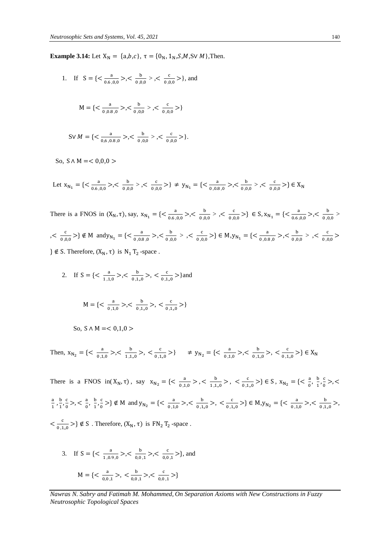**Example 3.14:** Let  $X_N = \{a,b,c\}$ ,  $\tau = \{0_N, 1_N, S, M, SV, M\}$ , Then.

1. If  $S = \{ \leq \frac{a}{\log a} \}$  $\frac{a}{0.6, 0, 0}$  >, <  $\frac{b}{0, 0}$  $rac{b}{0,0,0}$  >, <  $rac{c}{0,0}$  $\frac{c}{0,0,0}$  > }, and  $M = \{\leq \frac{a}{a} \}$  $\frac{a}{0.0.8,0}$  >,<  $\frac{b}{0.0}$  $\frac{b}{0,0,0}$  >,<  $\frac{c}{0,0}$  $\frac{c}{\frac{0}{0.00}}>$ S∨  $M = \{ \leq \frac{a}{a \leq a} \}$  $rac{a}{0,6,0.8,0}$  >,<  $rac{b}{0,0.8}$  $rac{b}{0,0,0}$  >, <  $rac{c}{0,0}$  $\frac{c}{0,0,0}$  > }. So, S∧ M = < 0,0,0 >

Let  $x_{N_1} = \{ \frac{a}{0.6} \}$  $\frac{a}{0.6, 0, 0}$  >,<  $\frac{b}{0, 0}$  $\frac{b}{0,0,0}$  >,<  $\frac{c}{0,0}$  $\frac{c}{0,0,0}$  > }  $\neq$   $y_{N_1}$  = { <  $\frac{a}{0,0.8}$  $\frac{a}{0.0.8,0}$  >,<  $\frac{b}{0.0}$  $rac{b}{\sqrt{0}}$ , 0,0 >, <  $rac{c}{\sqrt{0}}$  $\frac{c}{0,0,0}$  > }  $\in X_N$ 

There is a FNOS in  $(X_N, \tau)$ , say,  $X_{N_1} = \{ \frac{\sigma^2}{66} \}$  $\frac{a}{0.6, 0, 0}$  >,<  $\frac{b}{0, 0}$  $\frac{b}{0,0,0}$  >  $\lt$   $\frac{c}{0,0}$  $\frac{c}{0,0,0}$  > }  $\in$  S,  $x_{N_1}$  = {  $\lt \frac{a}{0.6}$ ,  $rac{a}{0.6,0,0}$  >,<  $rac{b}{0,0}$  $\frac{0}{0,0,0}$  $\cdot < \frac{c}{\sqrt{c}}$  $\frac{c}{0.00}$  >  $\} \notin M$  and  $y_{N_1} = \{ \frac{a}{0.000} \}$  $\frac{a}{0.0.8,0}$  >, <  $\frac{b}{0.0}$  $\frac{b}{0,0,0}$  >  $\frac{c}{0,0}$  $\frac{c}{0,0,0}$  > }  $\in M$ ,  $y_{N_1} = \left\{ \leq \frac{a}{0,0.1} \right\}$  $\frac{a}{0.0.8,0}$  >, <  $\frac{b}{0.0}$  $\frac{b}{0,0,0}$  >  $\lt$   $\frac{c}{0,0}$  $\frac{c}{0,0,0}$  $} \notin S$ . Therefore,  $(X_N, \tau)$  is  $N_1 T_2$ -space.

2. If  $S = \{ \leq \frac{a}{1.4} \}$  $\frac{a}{1,1,0}$  >,<  $\frac{b}{0,1}$  $\frac{b}{0,1,0}$  >, <  $\frac{c}{0,1}$  $\frac{c}{0,1,0}$  > } and  $M = \{\langle \frac{a}{a} \rangle\}$  $\frac{a}{0,1,0}$  >,<  $\frac{b}{0,1}$  $\frac{b}{0,1,0}$  >, <  $\frac{c}{0,1}$  $\frac{c}{0,1,0}$  > } So,  $S \wedge M = 0.1, 0 >$ 

Then,  $x_{N_2} = \{ \frac{a}{0.1} \}$  $\frac{a}{0,1,0}$  >,<  $\frac{b}{1,1}$  $\frac{b}{1,1,0}$  >, <  $\frac{c}{0,1}$  $\frac{c}{0,1,0}$  > }  $\neq y_{N_2}$  = {<  $\frac{a}{0,1}$  $\frac{a}{0,1,0}$  >,<  $\frac{b}{0,1}$  $\frac{b}{0,1,0}$  >, <  $\frac{c}{0,1}$  $\frac{c}{0,1,0}$  > }  $\in X_N$ 

There is a FNOS in( $X_N$ ,  $\tau$ ), say  $X_{N_2} = \{ \langle \frac{a}{n_1} \rangle$  $\frac{a}{0,1,0}$  > , <  $\frac{b}{1,1}$  $\frac{b}{1,1,0}$  >  $\lt$   $\frac{c}{0,1}$  $\frac{c}{0,1,0}$  > }  $\in$  S,  $x_{N_2}$  = {  $\lt \frac{a}{0}$  $\frac{a}{0}$ ,  $\frac{b}{1}$  $\frac{b}{1}, \frac{c}{0}$  $\frac{c}{0}$  >, < a  $\frac{a}{1}, \frac{b}{1}$  $\frac{b}{1}, \frac{c}{0}$  $\frac{c}{0}$  >, <  $\frac{a}{0}$  $\frac{a}{0}$ ,  $\frac{b}{1}$  $\frac{b}{1}, \frac{c}{0}$  $\frac{c}{0}$  >}  $\notin$  M and  $y_{N_2}$  = {<  $\frac{a}{0,1}$  $\frac{a}{0,1,0}$  >,<  $\frac{b}{0,1}$  $\frac{b}{0,1,0}$  >, <  $\frac{c}{0,1}$  $\frac{c}{0,1,0}$  > }  $\in M$ ,  $y_{N_2}$  = {  $\lt \frac{a}{0,1}$  $\frac{a}{0,1,0}$  >,<  $\frac{b}{0,1}$  $\frac{0}{0,1,0}$ ,  $\leq \frac{c}{a}$  $\frac{c}{a_{0,1,0}}$  >  $\notin$  S. Therefore,  $(X_N, \tau)$  is  $FN_2T_2$ -space.

3. If  $S = \{ \leq \frac{a}{1.8} \}$  $\frac{a}{1,0.9,0}$  >,<  $\frac{b}{0,0}$  $rac{b}{0,0,1}$  >,<  $rac{c}{0,0}$  $\frac{c}{0,0,1}$  > }, and  $M = \{\leq \frac{a}{2a}\}$  $\frac{a}{0,0,1}$  >, <  $\frac{b}{0,0}$  $\frac{b}{0.0 \cdot 1}$  >,<  $\frac{c}{0.0}$  $\frac{c}{0,0,1}$  > }

*Nawras N. Sabry, and Fatimah M. Mohammed, On Separation Axioms with New Constructions in Fuzzy Neutrosophic Topological Spaces*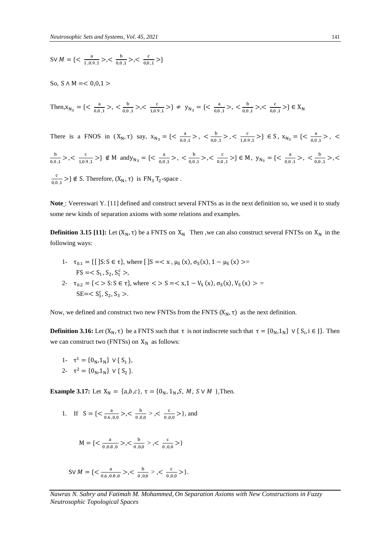$$
SV M = \{ < \frac{a}{1, 0.9, 1} > , < \frac{b}{0, 0, 1} > , < \frac{c}{0, 0, 1} > \}
$$

So,  $S \wedge M = 0.01$ 

Then,  $x_{N_3} = \{ \frac{a}{0.0} \}$  $\frac{a}{0,0,1}$  >, <  $\frac{b}{0,0}$  $rac{b}{0,0,1}$  >,<  $rac{c}{1,0.0}$  $\frac{c}{1,0.9,1}$  > }  $\neq$   $y_{N_3}$  = {<  $\frac{a}{0,0}$  $\frac{a}{0,0,1}$  >, <  $\frac{b}{0,0}$  $rac{b}{0,0,1}$  >,<  $rac{c}{0,0}$  $\frac{c}{0.0,1}$  > }  $\in X_N$ 

There is a FNOS in 
$$
(X_N, \tau)
$$
 say,  $x_{N_3} = \{ \langle \frac{a}{0,0,1} \rangle, \langle \frac{b}{0,0,1} \rangle, \langle \frac{c}{1,0,9,1} \rangle \} \in S, x_{N_3} = \{ \langle \frac{a}{0,0,1} \rangle, \langle \frac{b}{1,0,9,1} \rangle, \langle \frac{c}{1,0,0,1} \rangle, \langle \frac{c}{1,0,0,1} \rangle, \langle \frac{c}{1,0,0,1} \rangle \} \notin M \text{ and } y_{N_3} = \{ \langle \frac{a}{0,0,1} \rangle, \langle \frac{b}{0,0,1} \rangle, \langle \frac{c}{0,0,1} \rangle, \langle \frac{c}{0,0,1} \rangle, \langle \frac{c}{0,0,1} \rangle, \langle \frac{c}{0,0,1} \rangle, \langle \frac{c}{0,0,1} \rangle, \langle \frac{c}{0,0,1} \rangle, \langle \frac{c}{0,0,1} \rangle, \langle \frac{c}{0,0,1} \rangle, \langle \frac{c}{0,0,1} \rangle, \langle \frac{c}{0,0,1} \rangle, \langle \frac{c}{0,0,1} \rangle, \langle \frac{c}{0,0,1} \rangle, \langle \frac{c}{0,0,1} \rangle, \langle \frac{c}{0,0,1} \rangle, \langle \frac{c}{0,0,1} \rangle, \langle \frac{c}{0,0,1} \rangle, \langle \frac{c}{0,0,1} \rangle, \langle \frac{c}{0,0,1} \rangle, \langle \frac{c}{0,0,1} \rangle, \langle \frac{c}{0,0,1} \rangle, \langle \frac{c}{0,0,1} \rangle, \langle \frac{c}{0,0,1} \rangle, \langle \frac{c}{0,0,1} \rangle, \langle \frac{c}{0,0,1} \rangle, \langle \frac{c}{0,0,1} \rangle, \langle \frac{c}{0,0,1} \rangle, \langle \frac{c}{0,0,1} \rangle, \langle \frac{c}{0,0,1} \rangle, \langle \frac{c}{0,0,1} \rangle, \langle \frac{c}{0,0,1} \rangle, \langle \frac{c}{0,0,1} \rangle, \langle \frac{c}{0,0,1} \rangle, \langle \frac{c}{0,0,1} \rangle, \langle \frac$ 

**Note** : Veereswari Y. [11] defined and construct several FNTSs as in the next definition so, we used it to study some new kinds of separation axioms with some relations and examples.

**Definition 3.15 [11]:** Let  $(X_N, \tau)$  be a FNTS on  $X_N$  Then , we can also construct several FNTSs on  $X_N$  in the following ways:

1-  $\tau_{0.1} = \{ [\;]S: S \in \tau \}, \text{ where } [\;]S = \langle X, \mu_S(X), \sigma_S(X), 1 - \mu_S(X) \rangle =$  $FS = S_1, S_2, S_1^c >$ 2-  $\tau_{0.2} = \{ \langle \rangle \}$  S: S  $\in \tau$ , where  $\langle \rangle$  S =  $\langle x, 1 - V_S(x), \sigma_S(x), V_S(x) \rangle =$  $SE=< S_3^c, S_2, S_3 >.$ 

Now, we defined and construct two new FNTSs from the FNTS  $(X_N, \tau)$  as the next definition.

**Definition 3.16:** Let  $(X_N, \tau)$  be a FNTS such that  $\tau$  is not indiscrete such that  $\tau = \{0_N, 1_N\} \vee \{S_i, i \in J\}$ . Then we can construct two (FNTSs) on  $X_N$  as follows:

1-  $\tau^1 = \{0_N, 1_N\} \vee \{S_1\},\$ 2-  $\tau^2 = \{0_N, 1_N\} \vee \{S_2\}.$ 

**Example 3.17:** Let  $X_N = \{a,b,c\}$ ,  $\tau = \{0_N, 1_N, S, M, S \vee M\}$ , Then.

1. If  $S = \{ \leq \frac{a}{\log a} \}$  $\frac{a}{0.6, 0, 0}$  >,<  $\frac{b}{0, 0}$  $rac{b}{0,0,0}$  >,<  $rac{c}{0,0}$  $\frac{c}{0,0,0}$  > }, and

$$
M = \{ \langle \frac{a}{0,0.8,0} \rangle, \langle \frac{b}{0,0.0} \rangle, \langle \frac{c}{0,0.0} \rangle \}
$$

S∨  $M = \{ \leq \frac{a}{a \leq a} \}$  $\frac{a}{0.6, 0.8, 0}$  >,<  $\frac{b}{0, 0}$  $rac{b}{\sqrt{0}}$ , 0,0 >, <  $rac{c}{\sqrt{0}}$  $\frac{c}{0,0,0}$  > }.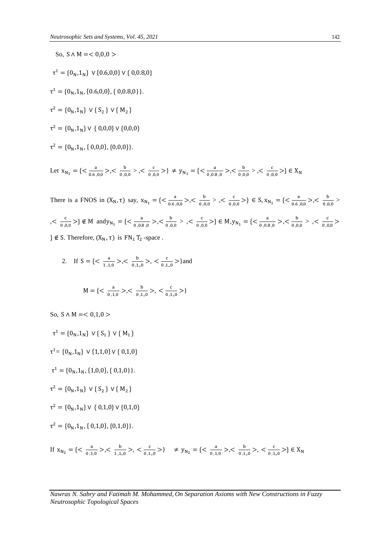So, 
$$
S \wedge M = < 0,0,0>
$$
  
\n
$$
\tau^{1} = \{0_{N}, 1_{N}\} \vee \{0.6, 0, 0\} \vee \{0, 0.8, 0\}
$$
\n
$$
\tau^{1} = \{0_{N}, 1_{N}, \{0.6, 0, 0\}, \{0, 0.8, 0\}\}.
$$
\n
$$
\tau^{2} = \{0_{N}, 1_{N}\} \vee \{S_{2}\} \vee \{M_{2}\}
$$
\n
$$
\tau^{2} = \{0_{N}, 1_{N}\} \vee \{0, 0, 0\} \vee \{0, 0, 0\}
$$
\n
$$
\tau^{2} = \{0_{N}, 1_{N}, \{0, 0, 0\}, \{0, 0, 0\}\}.
$$
\nLet  $x_{N_{1}} = \{<\frac{a}{0.6, 0.0}>, <\frac{b}{0.0.0}>, <\frac{c}{0.0.00}>, <\frac{c}{0.0.00}>, <\frac{b}{0.0.00}>, <\frac{c}{0.0.00}>, <\frac{c}{0.0.00}>, <\frac{c}{0.0.00}>, <\frac{c}{0.0.00}>, <\frac{c}{0.0.00}>, <\frac{c}{0.0.00}>, <\frac{c}{0.0.00}>, <\frac{c}{0.0.00}>, <\frac{c}{0.0.00}>, <\frac{c}{0.0.00}>, <\frac{c}{0.0.00}>, <\frac{c}{0.0.00}>, <\frac{c}{0.0.00}>, <\frac{c}{0.0.00}>, <\frac{c}{0.0.00}>, <\frac{c}{0.0.00}>, <\frac{c}{0.0.00}>, <\frac{c}{0.0.00}>, <\frac{c}{0.0.00}>, <\frac{c}{0.0.00}>, <\frac{c}{0.0.00}>, <\frac{c}{0.0.00}>, <\frac{c}{0.0.00}>, <\frac{c}{0.0.00}>, <\frac{c}{0.0.00}>, <\frac{c}{0.0.00}>, <\frac{c}{0.0.00}>, <\frac{c}{0.0.00}>, <\frac{c}{0$ 

There is a FNOS in  $(X_N, \tau)$  say,  $X_{N_1} = \{ \leq \frac{a}{0.6} \}$  $\frac{a}{0.6, 0, 0}$  >,<  $\frac{b}{0, 0}$  $\frac{b}{0,0,0}$  >  $\lt$   $\frac{c}{0,0}$  $\frac{c}{0,0,0}$  > }  $\in$  S,  $x_{N_1}$  = {  $\lt \frac{a}{0.6}$ ,  $rac{a}{0.6,0,0}$  >,<  $rac{b}{0,0}$  $\frac{0}{0,0,0}$  $\cdot < \frac{c}{\sqrt{c}}$  $\frac{c}{(0,0,0)}$  >  $\notin$  M and  $y_{N_1}$  = { <  $\frac{a}{(0,0.8)}$  $\frac{a}{0.0.8,0}$  >, <  $\frac{b}{0.0}$  $\frac{b}{0,0,0}$  >  $\lt$   $\frac{c}{0,0}$  $\frac{c}{0,0,0}$  > }  $\in M$ ,  $y_{N_1} = \{ \leq \frac{a}{0,0.1} \}$  $\frac{a}{0.0.8,0}$  >, <  $\frac{b}{0.0}$  $\frac{b}{0,0,0}$  >  $\lt$   $\frac{c}{0,0}$  $\frac{c}{0,0,0}$  $} \notin S$ . Therefore,  $(X_N, \tau)$  is  $FN_1 T_2$ -space.

2. If  $S = \{ \leq \frac{a}{1.4} \}$  $\frac{a}{1,1,0}$  >,<  $\frac{b}{0,1}$  $\frac{b}{0,1,0}$  >, <  $\frac{c}{0,1}$  $\frac{c}{0,1,0}$  > } and

$$
M = \{ < \frac{a}{0,1,0} > , < \frac{b}{0,1,0} > , < \frac{c}{0,1,0} > \}
$$

So, 
$$
S \land M = <0,1,0>
$$

$$
\tau^{1} = \{0_{N}, 1_{N}\} \vee \{S_{1}\} \vee \{M_{1}\}\
$$
  
\n
$$
\tau^{1} = \{0_{N}, 1_{N}\} \vee \{1, 1, 0\} \vee \{0, 1, 0\}
$$
  
\n
$$
\tau^{1} = \{0_{N}, 1_{N}, \{1, 0, 0\}, \{0, 1, 0\}\}.
$$
  
\n
$$
\tau^{2} = \{0_{N}, 1_{N}\} \vee \{S_{2}\} \vee \{M_{2}\}
$$
  
\n
$$
\tau^{2} = \{0_{N}, 1_{N}\} \vee \{0, 1, 0\} \vee \{0, 1, 0\}
$$
  
\n
$$
\tau^{2} = \{0_{N}, 1_{N}, \{0, 1, 0\}, \{0, 1, 0\}\}.
$$

$$
\text{If } x_{N_2} = \{ < \frac{a}{0,1,0} > , < \frac{b}{1,1,0} > , < \frac{c}{0,1,0} > \} \quad \neq y_{N_2} = \{ < \frac{a}{0,1,0} > , < \frac{b}{0,1,0} > , < \frac{c}{0,1,0} > \} \in X_N
$$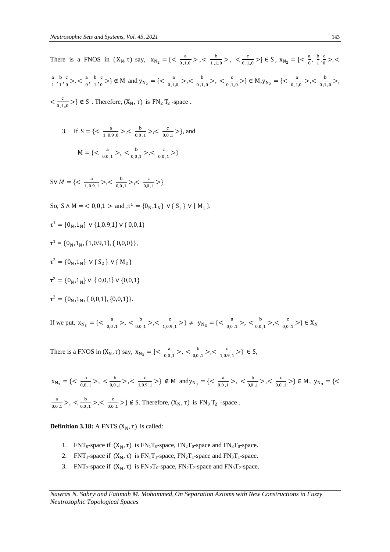There is a FNOS in 
$$
(X_N, \tau)
$$
 say,  $x_{N_2} = \{ \langle \frac{a}{0,1,0} \rangle, \langle \frac{b}{1,1,0} \rangle, \langle \frac{c}{0,1,0} \rangle \} \in S, x_{N_2} = \{ \langle \frac{a}{0}, \frac{b}{1}, \frac{c}{0} \rangle, \langle \frac{c}{0,1,0} \rangle \}$   
 $\frac{a}{1}, \frac{b}{1}, \frac{c}{0} \rangle, \langle \frac{a}{0}, \frac{b}{1}, \frac{c}{0} \rangle \} \notin M$  and  $y_{N_2} = \{ \langle \frac{a}{0,1,0} \rangle, \langle \frac{b}{0,1,0} \rangle, \langle \frac{c}{0,1,0} \rangle \} \in M, y_{N_2} = \{ \langle \frac{a}{0,1,0} \rangle, \langle \frac{b}{0,1,0} \rangle, \langle \frac{c}{0,1,0} \rangle \}$   
 $\langle \frac{c}{0,1,0} \rangle \} \notin S$ . Therefore,  $(X_N, \tau)$  is  $FN_2 T_2$ -space.

3. If 
$$
S = \{ \langle \frac{a}{1,0.9,0} \rangle, \langle \frac{b}{0,0,1} \rangle, \langle \frac{c}{0,0,1} \rangle \}
$$
, and  
\n $M = \{ \langle \frac{a}{0,0,1} \rangle, \langle \frac{b}{0,0,1} \rangle, \langle \frac{c}{0,0,1} \rangle \}$ 

S∨  $M = \{ \leq \frac{a}{4.8} \}$  $\frac{a}{1,0.9,1}$ >,<  $\frac{b}{0,0}$  $rac{b}{0,0,1}$  >,<  $rac{c}{0,0}$  $\frac{c}{0,0,1}$  > }

So, 
$$
S \wedge M = \langle 0, 0, 1 \rangle
$$
 and  $\tau^1 = \{0_N, 1_N\} \vee \{S_1\} \vee \{M_1\}$ .

$$
\tau^{1} = \{0_{N}, 1_{N}\} \vee \{1, 0.9, 1\} \vee \{0, 0, 1\}
$$
  
\n
$$
\tau^{1} = \{0_{N}, 1_{N}, \{1, 0.9, 1\}, \{0, 0, 0\}\},
$$
  
\n
$$
\tau^{2} = \{0_{N}, 1_{N}\} \vee \{S_{2}\} \vee \{M_{2}\}
$$
  
\n
$$
\tau^{2} = \{0_{N}, 1_{N}\} \vee \{0, 0, 1\} \vee \{0, 0, 1\}
$$
  
\n
$$
\tau^{2} = \{0_{N}, 1_{N}, \{0, 0, 1\}, \{0, 0, 1\}\}.
$$
  
\nIf we put,  $x_{N_{3}} = \{\langle \frac{a}{0, 0, 1} \rangle, \langle \frac{b}{0, 0, 1} \rangle, \langle \frac{c}{1, 0, 9, 1} \rangle\} \neq y_{N_{3}} = \{\langle \frac{a}{0, 0, 1} \rangle, \langle \frac{b}{0, 0, 1} \rangle, \langle \frac{c}{0, 0, 1} \rangle\} \in X_{N_{3}}$ 

There is a FNOS in  $(X_N, \tau)$  say,  $X_{N_3} = \{ \langle \frac{a}{0.0} \rangle \}$  $rac{a}{0,0,1}$  >, <  $rac{b}{0,0}$  $rac{b}{0.0 \cdot 1}$  >,<  $rac{c}{1.0 \cdot 1}$  $\frac{c}{1,0.9,1}$  > }  $\in S$ ,

 $X_{N_3} = \{ \langle \frac{a}{0.0} \rangle \}$  $\frac{a}{0,0,1}$ >, < $\frac{b}{0,0}$  $\frac{b}{0.0 \cdot 1}$ >,<  $\frac{c}{1.0 \cdot 1}$  $\frac{c}{1,0.9,1}$  >  $\xi$  M and  $y_{N_3}$  = {<  $\frac{a}{0,0}$  $\frac{a}{0.0 \cdot 1}$ ,  $< \frac{b}{0.0}$  $\frac{b}{0.0 \cdot 1}$  >, <  $\frac{c}{0.0}$  $\frac{c}{0.0 \cdot 1}$  > }  $\in M$ ,  $y_{N_3} = \{$ a  $\frac{a}{0,0,1}$  >, <  $\frac{b}{0,0}$  $rac{b}{0,0,1}$  >,<  $rac{c}{0,0}$  $\frac{c}{0.0,1}$  >  $\} \notin S$ . Therefore,  $(X_N, \tau)$  is FN<sub>3</sub> T<sub>2</sub> -space.

**Definition 3.18:** A FNTS  $(X_N, \tau)$  is called:

- 1. FNT<sub>0</sub>-space if  $(X_N, τ)$  is FN<sub>1</sub>T<sub>0</sub>-space, FN<sub>2</sub>T<sub>0</sub>-space and FN<sub>3</sub>T<sub>0</sub>-space.
- 2. FNT<sub>1</sub>-space if  $(X_N, \tau)$  is FN<sub>1</sub>T<sub>1</sub>-space, FN<sub>2</sub>T<sub>1</sub>-space and FN<sub>3</sub>T<sub>1</sub>-space.
- 3. FNT<sub>2</sub>-space if  $(X_N, \tau)$  is FN<sub>2</sub>T<sub>0</sub>-space, FN<sub>2</sub>T<sub>2</sub>-space and FN<sub>3</sub>T<sub>2</sub>-space.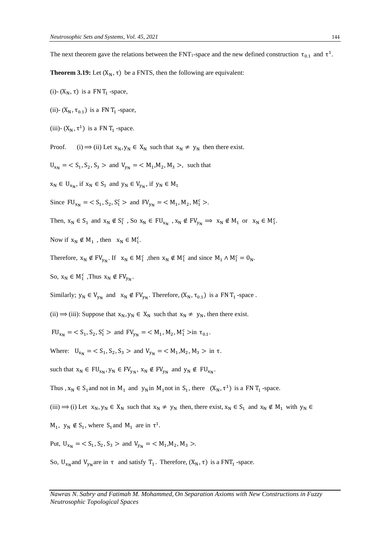The next theorem gave the relations between the FNT<sub>1</sub>-space and the new defined construction  $\tau_{0.1}$  and  $\tau^1$ .

**Theorem 3.19:** Let  $(X_N, \tau)$  be a FNTS, then the following are equivalent:

- (i)-  $(X_N, \tau)$  is a FN T<sub>1</sub>-space,
- (ii)-  $(X_N, \tau_{0.1})$  is a FN T<sub>1</sub>-space,

(iii)-  $(X_N, \tau^1)$  is a FN T<sub>1</sub>-space.

Proof. (i)  $\Rightarrow$  (ii) Let  $x_N, y_N \in X_N$  such that  $x_N \neq y_N$  then there exist.

 $U_{x_N} = \langle S_1, S_2, S_3 \rangle$  and  $V_{y_N} = \langle M_1, M_2, M_3 \rangle$ , such that

 $x_N \in U_{x_N}$ , if  $x_N \in S_1$  and  $y_N \in V_{y_N}$ , if  $y_N \in M_1$ 

Since  $FU_{x_N} = S_1, S_2, S_1^c >$  and  $FV_{y_N} = S M_1, M_2, M_1^c >$ .

Then,  $x_N \in S_1$  and  $x_N \notin S_1^c$ , So  $x_N \in FU_{x_N}$ ,  $x_N \notin FV_{y_N} \implies x_N \notin M_1$  or  $x_N \in M_1^c$ .

Now if  $x_N \notin M_1$ , then  $x_N \in M_1^c$ .

Therefore,  $x_N \notin FV_{y_N}$ . If  $x_N \in M_1^c$ , then  $x_N \notin M_1^c$  and since  $M_1 \wedge M_1^c = 0_N$ .

So,  $x_N \in M_1^c$ , Thus  $x_N \notin FV_{y_N}$ .

Similarly;  $y_N \in V_{y_N}$  and  $x_N \notin FV_{y_N}$ . Therefore,  $(X_N, \tau_{0.1})$  is a FN T<sub>1</sub>-space.

(ii)  $\Rightarrow$  (iii): Suppose that  $x_N, y_N \in X_N$  such that  $x_N \neq y_N$ , then there exist.

 $FU_{x_N} = S_1, S_2, S_1^c > \text{ and } FU_{y_N} = S_1, M_2, M_1^c > \text{ in } \tau_{0.1}.$ 

Where:  $U_{x_N} = S_1, S_2, S_3 > \text{ and } V_{y_N} = S_1, M_2, M_3 > \text{ in } \tau.$ 

such that  $x_N \in FU_{x_N}, y_N \in FV_{y_N}, x_N \notin FV_{y_N}$  and  $y_N \notin FU_{x_N}$ .

Thus,  $x_N \in S_1$  and not in  $M_1$  and  $y_N$  in  $M_1$  not in  $S_1$ , there  $(X_N, \tau^1)$  is a FN  $T_1$ -space.

(iii)  $\Rightarrow$  (i) Let  $x_N, y_N \in X_N$  such that  $x_N \neq y_N$  then, there exist,  $x_N \in S_1$  and  $x_N \notin M_1$  with  $y_N \in S_1$ 

 $M_1$ ,  $y_N \notin S_1$ , where  $S_1$  and  $M_1$  are in  $\tau^1$ .

Put,  $U_{x_N} = S_1, S_2, S_3 > \text{ and } V_{y_N} = S_1, M_2, M_3 > S$ 

So,  $U_{x_N}$  and  $V_{y_N}$  are in  $\tau$  and satisfy  $T_1$ . Therefore,  $(X_N, \tau)$  is a FNT<sub>1</sub>-space.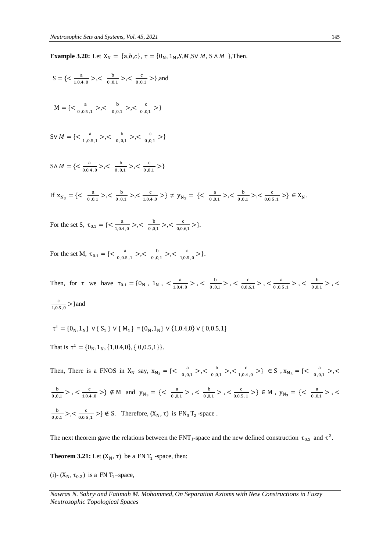**Example 3.20:** Let  $X_N = \{a,b,c\}$ ,  $\tau = \{0_N, 1_N, S, M, S \vee M, S \wedge M\}$ , Then.

$$
S = \{ \langle \frac{a}{1,0.4,0} \rangle, \langle \frac{b}{0,0,1} \rangle, \langle \frac{c}{0,0,1} \rangle \}, \text{and}
$$
  
\n
$$
M = \{ \langle \frac{a}{0,0.5,1} \rangle, \langle \frac{b}{0,0,1} \rangle, \langle \frac{c}{0,0,1} \rangle \}
$$
  
\n
$$
SV M = \{ \langle \frac{a}{1,0.5,1} \rangle, \langle \frac{b}{0,0,1} \rangle, \langle \frac{c}{0,0,1} \rangle \}
$$
  
\n
$$
SN M = \{ \langle \frac{a}{0,0.4,0} \rangle, \langle \frac{b}{0,0,1} \rangle, \langle \frac{c}{0,0,1} \rangle \}
$$
  
\n
$$
SK M = \{ \langle \frac{a}{0,0.4,0} \rangle, \langle \frac{b}{0,0,1} \rangle, \langle \frac{c}{0,0,1} \rangle \}
$$
  
\nIf  $x_{N_3} = \{ \langle \frac{a}{0,0,1} \rangle, \langle \frac{b}{0,0,1} \rangle, \langle \frac{c}{1,0.4,0} \rangle \} \neq y_{N_3} = \{ \langle \frac{a}{0,0,1} \rangle, \langle \frac{b}{0,0,1} \rangle, \langle \frac{c}{0,0.5,1} \rangle \} \in X_N$ .  
\nFor the set S,  $\tau_{0.1} = \{ \langle \frac{a}{1,0.4,0} \rangle, \langle \frac{b}{0,0.1} \rangle, \langle \frac{c}{0,0.6,1} \rangle \}$ .  
\nFor the set M,  $\tau_{0.1} = \{ \langle \frac{a}{0,0.5,1} \rangle, \langle \frac{b}{0,0.1} \rangle, \langle \frac{c}{1,0.5,0} \rangle \}$ .

Then, for  $\tau$  we have  $\tau_{0.1} = \{0_N, 1_N, \leq \frac{a}{100} \}$  $\frac{a}{1,0.4,0}$  >  $\lt$   $\frac{b}{0,0}$  $\frac{b}{0,0,1}$  > , <  $\frac{c}{0,0,1}$  $\frac{c}{0,0,6,1}$  >  $\frac{a}{0,0.1}$  $\frac{a}{0.0.5,1}$  >  $\lt$   $\frac{b}{0.0}$  $\frac{0}{0.0,1}$  > , < c  $\frac{c}{1,0.5,0}$  > } and

$$
\tau^{1} = \{0_{N}, 1_{N}\} \vee \{S_{1}\} \vee \{M_{1}\} = \{0_{N}, 1_{N}\} \vee \{1, 0.4, 0\} \vee \{0, 0.5, 1\}
$$

That is  $\tau^1 = \{0_N, 1_N, \{1, 0.4, 0\}, \{0, 0.5, 1\}\}.$ 

Then, There is a FNOS in  $X_N$  say,  $X_{N_3} = \{ \langle \frac{a}{n_3} \rangle$  $\frac{a}{0,0,1}$  >, <  $\frac{b}{0,0}$  $\frac{b}{0,0,1}$  >, <  $\frac{c}{1,0.4}$  $\frac{c}{1,0.4,0}$  > }  $\in$  S ,  $x_{N_3}$  = {<  $\frac{a}{0,0}$  $\frac{a}{0,0,1}$  >, < b  $\frac{b}{0,0,1}$  > , <  $\frac{c}{1,0.4}$  $\frac{c}{1,0.4,0}$  >}  $\notin M$  and  $y_{N_3} = \{ \langle \frac{a}{0,0} \rangle \}$  $\frac{a}{0,0,1}$  > , <  $\frac{b}{0,0}$  $\frac{b}{0,0,1}$  > , <  $\frac{c}{0,0.5}$  $\frac{c}{0.0.5 \cdot 1}$  > }  $\in M$ ,  $y_{N_3} = \{ \langle \frac{a}{0.0 \cdot 10^{10}} \rangle \}$  $\frac{a}{0.0,1}$  > , < b  $\frac{b}{0,0,1}$  >,<  $\frac{c}{0,0.5}$  $\frac{c}{0.0.5,1}$  >  $\} \notin S$ . Therefore,  $(X_N, \tau)$  is FN<sub>3</sub> T<sub>2</sub>-space.

The next theorem gave the relations between the FNT<sub>1</sub>-space and the new defined construction  $\tau_{0.2}$  and  $\tau^2$ .

**Theorem 3.21:** Let  $(X_N, \tau)$  be a FN  $T_1$  -space, then:

(i)-  $(X_N, \tau_{0.2})$  is a FN T<sub>1</sub>-space,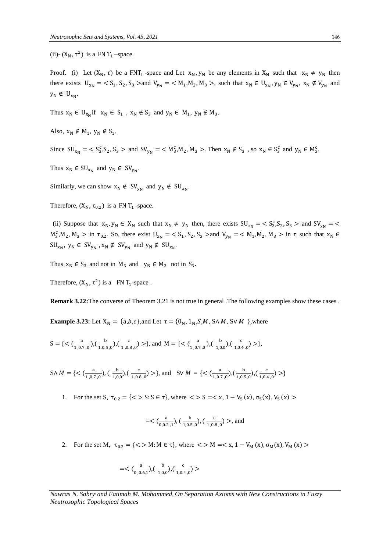(ii)-  $(X_N, \tau^2)$  is a FN T<sub>1</sub>-space.

Proof. (i) Let  $(X_N, \tau)$  be a FNT<sub>1</sub>-space and Let  $x_N, y_N$  be any elements in  $X_N$  such that  $x_N \neq y_N$  then there exists  $U_{x_N} = \langle S_1, S_2, S_3 \rangle$  and  $V_{y_N} = \langle M_1, M_2, M_3 \rangle$ , such that  $x_N \in U_{x_N}, y_N \in V_{y_N}, x_N \notin V_{y_N}$  and  $y_N \notin U_{x_N}.$ 

Thus  $x_N \in U_{x_N}$  if  $x_N \in S_1$ ,  $x_N \notin S_3$  and  $y_N \in M_1$ ,  $y_N \notin M_3$ .

Also,  $x_N \notin M_1$ ,  $y_N \notin S_1$ .

Since  $SU_{x_N} = \langle S_3^c, S_2, S_3 \rangle$  and  $SV_{y_N} = \langle M_3^c, M_2, M_3 \rangle$ . Then  $x_N \notin S_3$ , so  $x_N \in S_3^c$  and  $y_N \in M_3^c$ .

Thus  $x_N \in SU_{x_N}$  and  $y_N \in SV_{y_N}$ .

Similarly, we can show  $x_N \notin SV_{y_N}$  and  $y_N \notin SU_{x_N}$ .

Therefore,  $(X_N, \tau_{0.2})$  is a FN T<sub>1</sub>-space.

(ii) Suppose that  $x_N, y_N \in X_N$  such that  $x_N \neq y_N$  then, there exists  $SU_{x_N} = \langle S_3^c, S_2, S_3 \rangle$  and  $SV_{y_N} = \langle S_3^c, S_3 \rangle$  $M_3^c, M_2, M_3 >$  in  $\tau_{0.2}$ . So, there exist  $U_{x_N} = \langle S_1, S_2, S_3 \rangle$  and  $V_{y_N} = \langle M_1, M_2, M_3 \rangle$  in  $\tau$  such that  $x_N \in$  $SU_{x_N}$ ,  $y_N \in SV_{y_N}$ ,  $x_N \notin SV_{y_N}$  and  $y_N \notin SU_{x_N}$ .

Thus  $x_N \in S_3$  and not in  $M_3$  and  $y_N \in M_3$  not in  $S_3$ .

Therefore,  $(X_N, \tau^2)$  is a FN T<sub>1</sub>-space.

**Remark 3.22:**The converse of Theorem 3.21 is not true in general .The following examples show these cases .

**Example 3.23:** Let  $X_N = \{a,b,c\}$ , and Let  $\tau = \{0_N, 1_N, S, M, S \land M, S \lor M\}$ , where

$$
S=\{<(\frac{a}{1,0.7,0}),(\frac{b}{1,0.5,0}),(\frac{c}{1,0.8,0})>\},\text{ and }M=\{<(\frac{a}{1,0.7,0}),(\frac{b}{1,0,0}),(\frac{c}{1,0.4,0})>\},
$$

$$
S \wedge M = \{ \langle \left( \frac{a}{1,0.7,0} \right), \left( \frac{b}{1,0.0}, \left( \frac{c}{1,0.8,0} \right) \rangle \}, \text{ and } S \vee M = \{ \langle \left( \frac{a}{1,0.7,0} \right), \left( \frac{b}{1,0.5,0} \right), \left( \frac{c}{1,0.4,0} \right) \rangle \}
$$

1. For the set S,  $\tau_{0.2} = \{ \langle 5 \rangle \}$  where  $\langle 5 \rangle = \langle x, 1 - V_S(x), \sigma_S(x), V_S(x) \rangle$ 

$$
=\langle \frac{a}{0,0.2,1}, \frac{b}{1,0.5,0}, \frac{c}{1,0.8,0} \rangle
$$
, and

2. For the set M,  $\tau_{0.2} = \{ \langle \rangle M : M \in \tau \}$ , where  $\langle \rangle M = \langle x, 1 - V_M(x), \sigma_M(x), V_M(x) \rangle$ 

$$
=<(\frac{a}{0,0.6,1}), (\frac{b}{1,0,0}), (\frac{c}{1,0.4,0})>
$$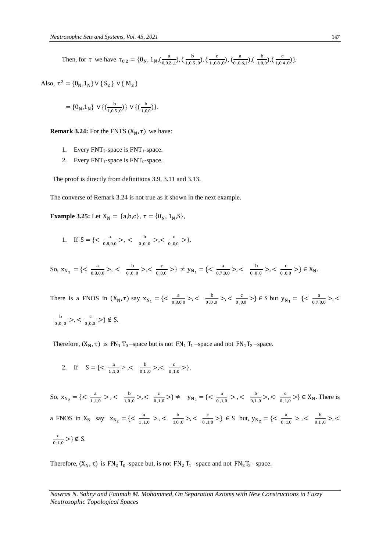Then, for  $\tau$  we have  $\tau_{0.2} = \{0_N, 1_N, (\frac{a}{0.2})\}$  $\frac{a}{0,0.2}$ , 1),  $\left(\frac{b}{1,0.5}\right)$  $\frac{b}{1,0.5,0}$ ),  $\left(\frac{c}{1,0.5,0}\right)$  $\frac{c}{1,0.8,0}$ ,  $\left(\frac{a}{0,0.8,0}\right)$  $\frac{a}{(0,0.6,1)}$ ,  $\left(\frac{b}{1,0}\right)$  $\frac{b}{1,0,0}$ ),  $\left(\frac{c}{1,0.0}\right)$  $\frac{c}{1,0.4,0}\big)\big\}.$ 

Also,  $\tau^2 = \{0_N, 1_N\} \vee \{S_2\} \vee \{M_2\}$ 

$$
= \{0_N, 1_N\} \vee \{(\frac{b}{1, 0.5, 0})\} \vee \{(\frac{b}{1, 0, 0})\}.
$$

**Remark 3.24:** For the FNTS  $(X_N, \tau)$  we have:

- 1. Every  $FNT_2$ -space is  $FNT_1$ -space.
- 2. Every  $FNT_1$ -space is  $FNT_0$ -space.

The proof is directly from definitions 3.9, 3.11 and 3.13.

The converse of Remark 3.24 is not true as it shown in the next example.

**Example 3.25:** Let  $X_N = \{a,b,c\}, \tau = \{0_N, 1_N, S\},\$ 

1. If  $S = \{ \langle \frac{a}{2.8} \rangle \}$  $\frac{a}{0.8,0,0}$  >, <  $\frac{b}{0,0}$  $rac{b}{0,0,0}$  >,<  $rac{c}{0,0}$  $\frac{c}{0,0,0}$  > }.

So,  $x_{N_1} = \{ \frac{a}{0.8} \}$  $\frac{a}{0.8,0,0}$  >, <  $\frac{b}{0,0}$  $rac{b}{0,0,0}$  >,<  $rac{c}{0,0}$  $\frac{c}{0,0,0}$  > }  $\neq$   $y_{N_1}$  = {<  $\frac{a}{0.7}$  $\frac{a}{0.7,0,0}$  >, <  $\frac{b}{0,0}$  $\frac{b}{0,0,0}$  >, <  $\frac{c}{0,0}$  $\frac{c}{0,0,0}$  > }  $\in X_N$ .

There is a FNOS in  $(X_N, \tau)$  say  $X_{N_1} = \{ \leq \frac{a}{0.8} \}$  $\frac{a}{0.8,0,0}$  >, <  $\frac{b}{0,0}$  $\frac{b}{0,0,0}$  >, <  $\frac{c}{0,0}$  $\frac{c}{0,0,0}$  > }  $\in$  S but  $y_{N_1} = \{ \leq \frac{a}{0.7} \}$  $\frac{a}{0.7,0,0}$  >, <

$$
\frac{b}{0,0,0} > 0 < \frac{c}{0,0,0} > \} \notin S.
$$

Therefore,  $(X_N, \tau)$  is  $FN_1 T_0$ -space but is not  $FN_1 T_1$ -space and not  $FN_1 T_2$ -space.

2. If  $S = \{ \leq \frac{a}{1.4} \}$  $\frac{a}{1,1,0}$  > ,<  $\frac{b}{0,1}$  $rac{b}{0,1,0}$  >,<  $rac{c}{0,1}$  $\frac{c}{0,1,0}$  > }.

So,  $x_{N_2} = \{ \frac{a}{1.1} \}$  $\frac{a}{1,1,0}$  >, <  $\frac{b}{1,0}$  $rac{b}{1,0,0}$  >, <  $rac{c}{0,1}$  $\frac{c}{0,1,0}$  > }  $\neq$   $y_{N_2}$  = { <  $\frac{a}{0,1}$  $\frac{a}{0,1,0}$  >, <  $\frac{b}{0,1}$  $rac{b}{0,1,0}$  >, <  $rac{c}{0,1}$  $\frac{c}{0,1,0}$  > }  $\in X_N$ . There is a FNOS in  $X_N$  say  $x_{N_2} = \{ \frac{a}{11} \}$  $\frac{a}{1,1,0}$  >, <  $\frac{b}{1,0}$  $rac{b}{1,0,0}$  >, <  $rac{c}{0,1}$  $\frac{c}{0,1,0}$  > }  $\in$  S but,  $y_{N_2}$  = {<  $\frac{a}{0,1}$  $\frac{a}{0,1,0}$  > , <  $\frac{b}{0,1}$  $\frac{0}{0,1,0}$  >, < c  $\frac{c}{0,1,0}$  > }  $\notin S$ .

Therefore,  $(X_N, \tau)$  is  $FN_2 T_0$ -space but, is not  $FN_2 T_1$ -space and not  $FN_2 T_2$ -space.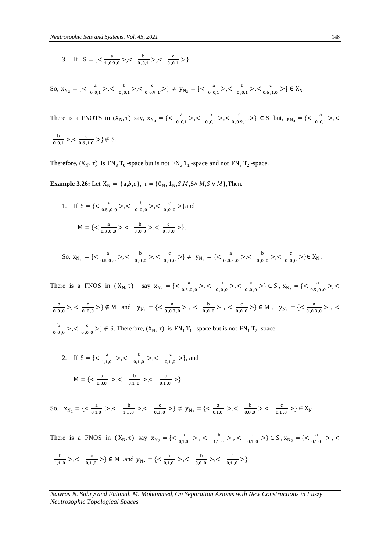3. If  $S = \{ \leq \frac{a}{1.8} \}$  $\frac{a}{1,0.9,0}$  >,<  $\frac{b}{0,0}$  $rac{b}{0,0,1}$  >,<  $rac{c}{0,0}$  $\frac{c}{0,0,1}$  > }.

So,  $x_{N_3} = \{ \frac{a}{\sqrt{0.0}} \}$  $rac{a}{0,0,1}$ >,<  $rac{b}{0,0}$  $rac{b}{0,0,1}$  >, <  $rac{c}{0,0.}$  $\frac{c}{0,0.9,1}$ , > }  $\neq$   $y_{N_3}$  = {<  $\frac{a}{0,0.9}$  $rac{a}{0,0,1}$  >,<  $rac{b}{0,0}$  $rac{b}{0,0,1}$  >, <  $rac{c}{0.6}$  $\frac{c}{0.6,1,0}$  > }  $\in X_N$ .

There is a FNOTS in  $(X_N, \tau)$  say,  $X_{N_3} = \{ \langle \frac{a}{0.0} \rangle \}$  $\frac{a}{0,0,1}$ >,<  $\frac{b}{0,0}$  $\frac{b}{0,0,1}$  >, <  $\frac{c}{0,0.}$  $\frac{c}{0.0.9,1}$ , > }  $\in$  S but,  $y_{N_3} = \{ \frac{a}{0.00,1} \}$  $\frac{a}{0,0,1}$ >,< b  $rac{b}{0,0,1}$  >,<  $rac{c}{0.6}$  $\frac{c}{0.6,1,0}$  > }  $\notin S$ .

Therefore,  $(X_N, \tau)$  is  $FN_3 T_0$ -space but is not  $FN_3 T_1$ -space and not  $FN_3 T_2$ -space.

**Example 3.26:** Let  $X_N = \{a,b,c\}$ ,  $\tau = \{0_N, 1_N, S, M, S \land M, S \lor M\}$ , Then.

1. If  $S = \{ \leq \frac{a}{25} \}$  $\frac{a}{0.5,0,0}$  >,<  $\frac{b}{0,0}$  $rac{b}{\sqrt{0} \cdot 0 \cdot 0}$  >,<  $rac{c}{\sqrt{0} \cdot 0}$  $\frac{c}{0,0,0}$  > } and  $M = \left\{ \frac{a}{a^2} \right\}$  $\frac{a}{0.3,0,0}$  >,<  $\frac{b}{0,0}$  $rac{b}{0,0,0}$  >,<  $rac{c}{0,0}$  $\frac{c}{\frac{c}{0,0,0}}$  > }.

So, 
$$
x_{N_1} = \{ \langle \frac{a}{0.5, 0, 0} \rangle, \langle \frac{b}{0, 0, 0} \rangle, \langle \frac{c}{0, 0, 0} \rangle \} \neq y_{N_1} = \{ \langle \frac{a}{0, 0.3, 0} \rangle, \langle \frac{b}{0, 0, 0} \rangle, \langle \frac{c}{0, 0, 0} \rangle \} \in X_N.
$$

There is a FNOS in  $(X_N, \tau)$  say  $X_{N_1} = \{ \leq \frac{a}{0.5} \}$  $\frac{a}{0.5,0,0}$  >, <  $\frac{b}{0,0}$  $rac{b}{0,0,0}$  >, <  $rac{c}{0,0}$  $\frac{c}{0,0,0}$  > }  $\in$  S,  $x_{N_1} = \left\{ \frac{a}{0.5,0}\right\}$  $\frac{a}{0.5,0,0}$  >, < b  $\frac{b}{0,0,0}$  >, <  $\frac{c}{0,0}$  $\frac{c}{0,0,0}$  > }  $\notin M$  and  $y_{N_1} = \{ \frac{a}{0,0} \}$  $\frac{a}{0.0.3,0}$  >  $, < \frac{b}{0.0}$  $\frac{b}{0,0,0}$  > , <  $\frac{c}{0,0}$  $\frac{c}{0,0,0}$  > }  $\in M$ ,  $y_{N_1} = \left\{ \frac{a}{0,0.00} \right\}$  $\frac{a}{0.0.3}$ ,  $>$ , < b  $rac{b}{0,0,0}$  >,<  $rac{c}{0,0}$  $\frac{c}{0.0,0}$  >}  $\notin$  S. Therefore,  $(X_N, \tau)$  is FN<sub>1</sub> T<sub>1</sub> –space but is not FN<sub>1</sub> T<sub>2</sub> -space.

2. If  $S = \{ \leq \frac{a}{11} \}$  $\frac{a}{1,1,0}$  >,<  $\frac{b}{0,1}$  $rac{b}{0,1,0}$  >,<  $rac{c}{0,1}$  $\frac{c}{0,1,0}$  > }, and  $M = \left\{ \frac{a}{a} \right\}$  $rac{a}{0,0,0}$  >,<  $rac{b}{0,1}$  $rac{b}{0,1,0}$  >,<  $rac{c}{0,1}$  $\frac{c}{0,1,0}$  >}

So,  $x_{N_2} = \{ \frac{a}{0.1} \}$  $\frac{a}{0,1,0}$  >,<  $\frac{b}{1,1}$  $rac{b}{1,1,0}$  >,<  $rac{c}{0,1}$  $\frac{c}{0,1,0}$  > }  $\neq$   $y_{N_2}$  = { <  $\frac{a}{0,1}$  $\frac{a}{0,1,0}$  >,<  $\frac{b}{0,0}$  $rac{b}{0,0,0}$  >,<  $rac{c}{0,1}$  $\frac{C}{0,1,0}$  > }  $\in X_N$ 

There is a FNOS in  $(X_N, \tau)$  say  $X_{N_2} = \{ \leq \frac{a}{0.1} \}$  $\frac{a}{0,1,0}$  >, <  $\frac{b}{1,1}$  $\frac{b}{1,1,0}$  > , <  $\frac{c}{0,1}$  $\frac{c}{0,1,0}$  > }  $\in$  S,  $x_{N_2}$  = {  $\lt \frac{a}{0,1}$  $\frac{a}{0,1,0}$  >, < b  $rac{b}{1,1,0}$  >,<  $rac{c}{0,1}$  $\frac{c}{0,1,0}$  > }  $\notin$  M .and  $y_{N_2}$  = { <  $\frac{a}{0,1}$  $\frac{a}{0,1,0}$  >,<  $\frac{b}{0,0}$  $rac{b}{0,0,0}$  >,<  $rac{c}{0,1}$  $\frac{c}{0,1,0}$  >}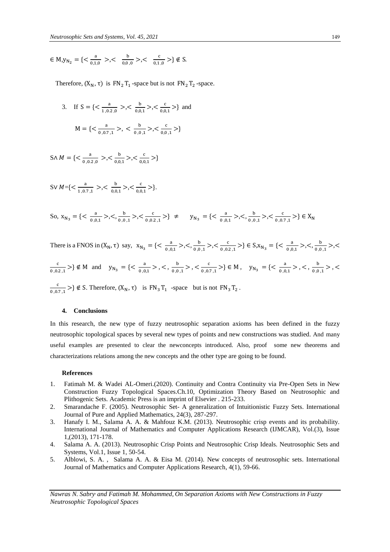$\in M, y_{N_2} = \{\leq \frac{a}{0.1}\}$  $\frac{a}{0,1,0}$  >,<  $\frac{b}{0,0}$  $rac{b}{0,0,0}$  >,<  $rac{c}{0,1}$  $\frac{c}{0,1,0}$  > }  $\notin S$ .

Therefore,  $(X_N, \tau)$  is  $FN_2T_1$ -space but is not  $FN_2T_2$ -space.

3. If  $S = \{ \leq \frac{a}{1.8} \}$  $\frac{a}{1,0.2,0}$  >,<  $\frac{b}{0,0}$  $\frac{b}{0.0,1}$ >,< $\frac{c}{0.0}$  $\frac{c}{0.0,1}$  > } and  $M = \{ \leq \frac{a}{a} \}$  $\frac{a}{0.0.7,1}$  >, <  $\frac{b}{0.0}$  $\frac{b}{0,0,1}$  >, <  $\frac{c}{0,0}$  $\frac{c}{0,0,1}$  > }

 $S \wedge M = \{ \leq \frac{a}{a} \}$  $\frac{a}{0.0.2}$ ,  $>$ ,  $<$   $\frac{b}{0.0}$  $\frac{b}{0.0,1}$  >, <  $\frac{c}{0.0}$  $\frac{c}{0,0,1}$  > }

$$
SV M = \{ < \frac{a}{1, 0.7, 1} > \, < \frac{b}{0, 0, 1} > \, < \frac{c}{0, 0, 1} > \}.
$$

So, 
$$
x_{N_3} = \{ \langle \frac{a}{0,0,1} \rangle, \langle \frac{b}{0,0,1} \rangle, \langle \frac{c}{0,0,2,1} \rangle \} \neq y_{N_3} = \{ \langle \frac{a}{0,0,1} \rangle, \langle \frac{b}{0,0,1} \rangle, \langle \frac{c}{0,0,7,1} \rangle \} \in X_N
$$

There is a FNOS in  $(X_N, \tau)$  say,  $X_{N_3} = \{ \langle \frac{a}{0.0} \rangle \}$  $\frac{a}{0,0,1}$  >,<,  $\frac{b}{0,0}$  $rac{b}{0,0,1}$  >,<  $rac{c}{0,0.}$  $\frac{c}{0,0.2,1}$  > }  $\in$  S,  $x_{N_3}$  = {  $\lt \frac{a}{0,0}$  $\frac{a}{0,0,1}$  >,<,  $\frac{b}{0,0}$  $\frac{0}{0,0,1}$  >,< c  $\frac{c}{0.0.2 \cdot 1}$  >  $\} \notin M$  and  $y_{N_3} = \{ \frac{a}{0.01} \}$  $\frac{a}{0,0,1}$  > , < ,  $\frac{b}{0,0}$  $\frac{b}{0,0,1}$  > , <  $\frac{c}{0,0.}$  $\frac{c}{0,0.7,1}$  > }  $\in M$ ,  $y_{N_3} = \left\{ \frac{a}{0,0.7,1} \right\}$  $\frac{a}{0,0,1}$  > , < ,  $\frac{b}{0,0}$  $\frac{0}{0,0,1}$  > , < c  $\frac{c}{0.0.7,1}$  >}  $\notin$  S. Therefore,  $(X_N, \tau)$  is FN<sub>3</sub> T<sub>1</sub> -space but is not FN<sub>3</sub> T<sub>2</sub>.

## **4. Conclusions**

In this research, the new type of fuzzy neutrosophic separation axioms has been defined in the fuzzy neutrosophic topological spaces by several new types of points and new constructions was studied. And many useful examples are presented to clear the newconcepts introduced. Also, proof some new theorems and characterizations relations among the new concepts and the other type are going to be found.

#### **References**

- 1. Fatimah M. & Wadei AL-Omeri.(2020). Continuity and Contra Continuity via Pre-Open Sets in New Construction Fuzzy Topological Spaces.Ch.10, Optimization Theory Based on Neutrosophic and Plithogenic Sets. Academic Press is an imprint of Elsevier . 215-233.
- 2. Smarandache F. (2005). Neutrosophic Set- A generalization of Intuitionistic Fuzzy Sets. International Journal of Pure and Applied Mathematics, 24(3), 287-297.
- 3. Hanafy I. M., Salama A. A. & Mahfouz K.M. (2013). Neutrosophic crisp events and its probability. International Journal of Mathematics and Computer Applications Research (IJMCAR), Vol.(3), Issue 1,(2013), 171-178.
- 4. Salama A. A. (2013). Neutrosophic Crisp Points and Neutrosophic Crisp Ideals. Neutrosophic Sets and Systems, Vol.1, Issue 1, 50-54.
- 5. Alblowi, S. A. , Salama A. A. & Eisa M. (2014). New concepts of neutrosophic sets. International Journal of Mathematics and Computer Applications Research, 4(1), 59-66.